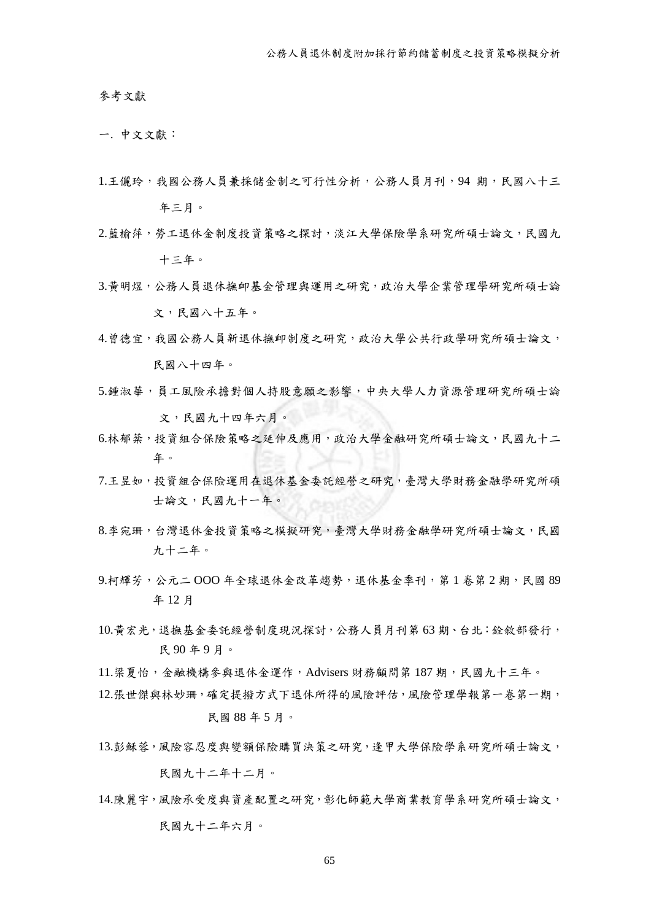參考文獻

一. 中文文獻:

- 1.王儷玲,我國公務人員兼採儲金制之可行性分析,公務人員月刊,94 期,民國八十三 年三月。
- 2.藍榆萍,勞工退休金制度投資策略之探討,淡江大學保險學系研究所碩士論文,民國九 十三年。
- 3.黃明煜,公務人員退休撫卹基金管理與運用之研究,政治大學企業管理學研究所碩士論 文,民國八十五年。
- 4.曾德宜,我國公務人員新退休撫卹制度之研究,政治大學公共行政學研究所碩士論文, 民國八十四年。
- 5.鍾淑華,員工風險承擔對個人持股意願之影響,中央大學人力資源管理研究所碩士論 文,民國九十四年六月。
- 6.林郁棻,投資組合保險策略之延伸及應用,政治大學金融研究所碩士論文,民國九十二 年。
- 7.王昱如,投資組合保險運用在退休基金委託經營之研究,臺灣大學財務金融學研究所碩 士論文,民國九十一年。
- 8.李宛珊,台灣退休金投資策略之模擬研究,臺灣大學財務金融學研究所碩士論文,民國 九十二年。
- 9. 柯輝芳,公元二 OOO 年全球退休金改革趨勢,退休基金季刊,第1卷第2期,民國 89 年 12 月
- 10.黃宏光,退撫基金委託經營制度現況探討,公務人員月刊第 63 期、台北:銓敘部發行, 民 90 年 9 月。
- 11.梁夏怡,金融機構參與退休金運作,Advisers 財務顧問第 187 期,民國九十三年。
- 12.張世傑與林妙珊,確定提撥方式下退休所得的風險評估,風險管理學報第一卷第一期, 民國 88 年 5 月。
- 13.彭穌蓉,風險容忍度與變額保險購買決策之研究,逢甲大學保險學系研究所碩士論文, 民國九十二年十二月。
- 14.陳麗宇,風險承受度與資產配置之研究,彰化師範大學商業教育學系研究所碩士論文, 民國九十二年六月。